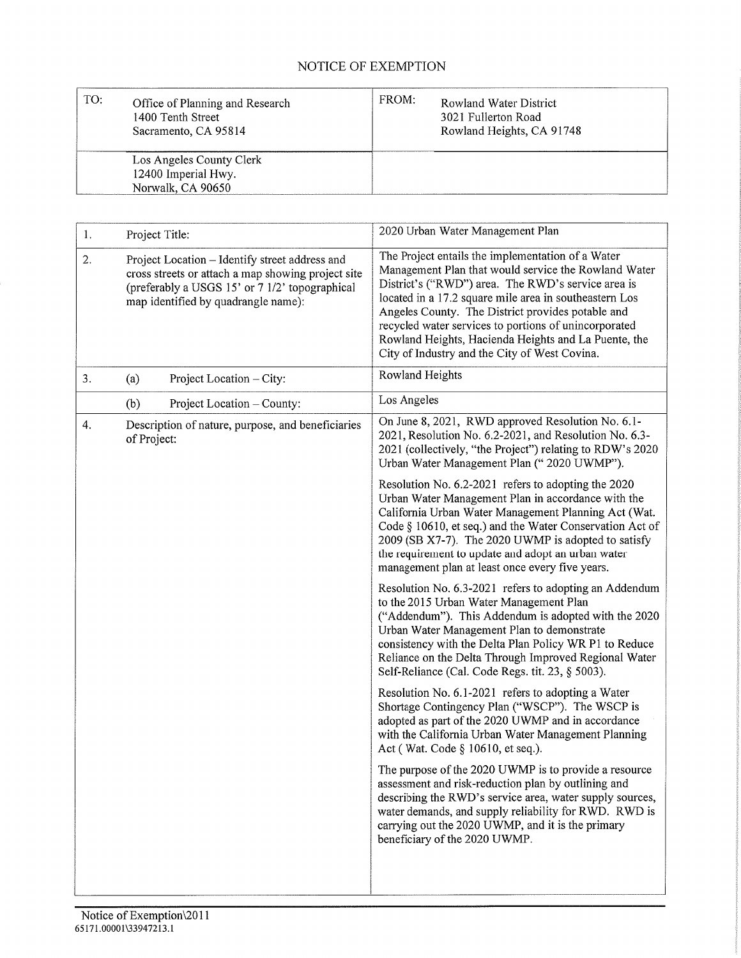## NOTICE OF EXEMPTION

| TO: | Office of Planning and Research<br>1400 Tenth Street<br>Sacramento, CA 95814 | FROM: | Rowland Water District<br>3021 Fullerton Road<br>Rowland Heights, CA 91748 |
|-----|------------------------------------------------------------------------------|-------|----------------------------------------------------------------------------|
|     | Los Angeles County Clerk                                                     |       |                                                                            |
|     | 12400 Imperial Hwy.                                                          |       |                                                                            |
|     | Norwalk, CA 90650                                                            |       |                                                                            |

| 1. | Project Title:                                                                                                                                                                                | 2020 Urban Water Management Plan                                                                                                                                                                                                                                                                                                                                                                                                                 |  |
|----|-----------------------------------------------------------------------------------------------------------------------------------------------------------------------------------------------|--------------------------------------------------------------------------------------------------------------------------------------------------------------------------------------------------------------------------------------------------------------------------------------------------------------------------------------------------------------------------------------------------------------------------------------------------|--|
| 2. | Project Location - Identify street address and<br>cross streets or attach a map showing project site<br>(preferably a USGS 15' or 7 1/2' topographical<br>map identified by quadrangle name): | The Project entails the implementation of a Water<br>Management Plan that would service the Rowland Water<br>District's ("RWD") area. The RWD's service area is<br>located in a 17.2 square mile area in southeastern Los<br>Angeles County. The District provides potable and<br>recycled water services to portions of unincorporated<br>Rowland Heights, Hacienda Heights and La Puente, the<br>City of Industry and the City of West Covina. |  |
| 3. | Project Location - City:<br>(a)                                                                                                                                                               | Rowland Heights                                                                                                                                                                                                                                                                                                                                                                                                                                  |  |
|    | Project Location - County:<br>(b)                                                                                                                                                             | Los Angeles                                                                                                                                                                                                                                                                                                                                                                                                                                      |  |
| 4. | Description of nature, purpose, and beneficiaries<br>of Project:                                                                                                                              | On June 8, 2021, RWD approved Resolution No. 6.1-<br>2021, Resolution No. 6.2-2021, and Resolution No. 6.3-<br>2021 (collectively, "the Project") relating to RDW's 2020<br>Urban Water Management Plan (" 2020 UWMP").                                                                                                                                                                                                                          |  |
|    |                                                                                                                                                                                               | Resolution No. 6.2-2021 refers to adopting the 2020<br>Urban Water Management Plan in accordance with the<br>California Urban Water Management Planning Act (Wat.<br>Code § 10610, et seq.) and the Water Conservation Act of<br>2009 (SB X7-7). The 2020 UWMP is adopted to satisfy<br>the requirement to update and adopt an urban water<br>management plan at least once every five years.                                                    |  |
|    |                                                                                                                                                                                               | Resolution No. 6.3-2021 refers to adopting an Addendum<br>to the 2015 Urban Water Management Plan<br>("Addendum"). This Addendum is adopted with the 2020<br>Urban Water Management Plan to demonstrate<br>consistency with the Delta Plan Policy WR P1 to Reduce<br>Reliance on the Delta Through Improved Regional Water<br>Self-Reliance (Cal. Code Regs. tit. 23, § 5003).                                                                   |  |
|    |                                                                                                                                                                                               | Resolution No. 6.1-2021 refers to adopting a Water<br>Shortage Contingency Plan ("WSCP"). The WSCP is<br>adopted as part of the 2020 UWMP and in accordance<br>with the California Urban Water Management Planning<br>Act (Wat. Code § 10610, et seq.).                                                                                                                                                                                          |  |
|    |                                                                                                                                                                                               | The purpose of the 2020 UWMP is to provide a resource<br>assessment and risk-reduction plan by outlining and<br>describing the RWD's service area, water supply sources,<br>water demands, and supply reliability for RWD. RWD is<br>carrying out the 2020 UWMP, and it is the primary<br>beneficiary of the 2020 UWMP.                                                                                                                          |  |
|    |                                                                                                                                                                                               |                                                                                                                                                                                                                                                                                                                                                                                                                                                  |  |